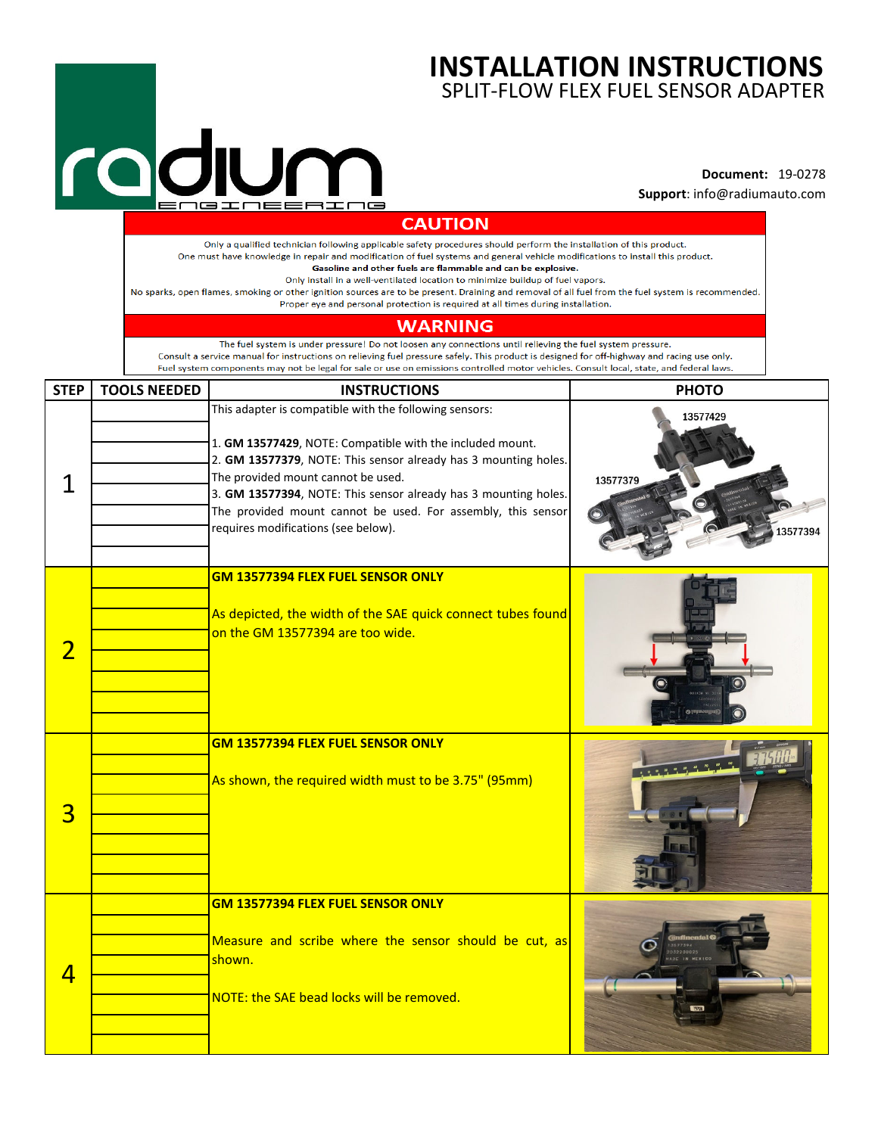## **INSTALLATION INSTRUCTIONS** SPLIT-FLOW FLEX FUEL SENSOR ADAPTER

## rodum

## **Document:** 19-0278 **Support**: info@radiumauto.com

|                |                     | enerneerr                                                                                                                                                                                                                                                                                                                                                                                                                                                                                                                                                                                                                                        | <b>Support:</b> info@radiumauto.com                                         |
|----------------|---------------------|--------------------------------------------------------------------------------------------------------------------------------------------------------------------------------------------------------------------------------------------------------------------------------------------------------------------------------------------------------------------------------------------------------------------------------------------------------------------------------------------------------------------------------------------------------------------------------------------------------------------------------------------------|-----------------------------------------------------------------------------|
|                |                     | <b>CAUTION</b>                                                                                                                                                                                                                                                                                                                                                                                                                                                                                                                                                                                                                                   |                                                                             |
|                |                     | Only a qualified technician following applicable safety procedures should perform the installation of this product.<br>One must have knowledge in repair and modification of fuel systems and general vehicle modifications to install this product.<br>Gasoline and other fuels are flammable and can be explosive.<br>Only install in a well-ventilated location to minimize buildup of fuel vapors.<br>No sparks, open flames, smoking or other ignition sources are to be present. Draining and removal of all fuel from the fuel system is recommended.<br>Proper eye and personal protection is required at all times during installation. |                                                                             |
|                |                     | <b>WARNING</b>                                                                                                                                                                                                                                                                                                                                                                                                                                                                                                                                                                                                                                   |                                                                             |
|                |                     | The fuel system is under pressure! Do not loosen any connections until relieving the fuel system pressure.<br>Consult a service manual for instructions on relieving fuel pressure safely. This product is designed for off-highway and racing use only.<br>Fuel system components may not be legal for sale or use on emissions controlled motor vehicles. Consult local, state, and federal laws.                                                                                                                                                                                                                                              |                                                                             |
| <b>STEP</b>    | <b>TOOLS NEEDED</b> | <b>INSTRUCTIONS</b>                                                                                                                                                                                                                                                                                                                                                                                                                                                                                                                                                                                                                              | <b>PHOTO</b>                                                                |
| 1              |                     | This adapter is compatible with the following sensors:<br>1. GM 13577429, NOTE: Compatible with the included mount.<br>2. GM 13577379, NOTE: This sensor already has 3 mounting holes.<br>The provided mount cannot be used.<br>3. GM 13577394, NOTE: This sensor already has 3 mounting holes.<br>The provided mount cannot be used. For assembly, this sensor<br>requires modifications (see below).                                                                                                                                                                                                                                           | 13577429<br>13577379<br>3577394                                             |
| $\overline{2}$ |                     | <b>GM 13577394 FLEX FUEL SENSOR ONLY</b><br>As depicted, the width of the SAE quick connect tubes found<br>on the GM 13577394 are too wide.                                                                                                                                                                                                                                                                                                                                                                                                                                                                                                      |                                                                             |
| 3              |                     | GM 13577394 FLEX FUEL SENSOR ONLY<br>As shown, the required width must to be 3.75" (95mm)                                                                                                                                                                                                                                                                                                                                                                                                                                                                                                                                                        |                                                                             |
| 4              |                     | <b>GM 13577394 FLEX FUEL SENSOR ONLY</b><br>Measure and scribe where the sensor should be cut, as<br>shown.                                                                                                                                                                                                                                                                                                                                                                                                                                                                                                                                      | <b><i><u>confinental</u></i></b><br>3577394<br>2032200025<br>MADE IN MEXICO |
|                |                     | NOTE: the SAE bead locks will be removed.                                                                                                                                                                                                                                                                                                                                                                                                                                                                                                                                                                                                        | 7528                                                                        |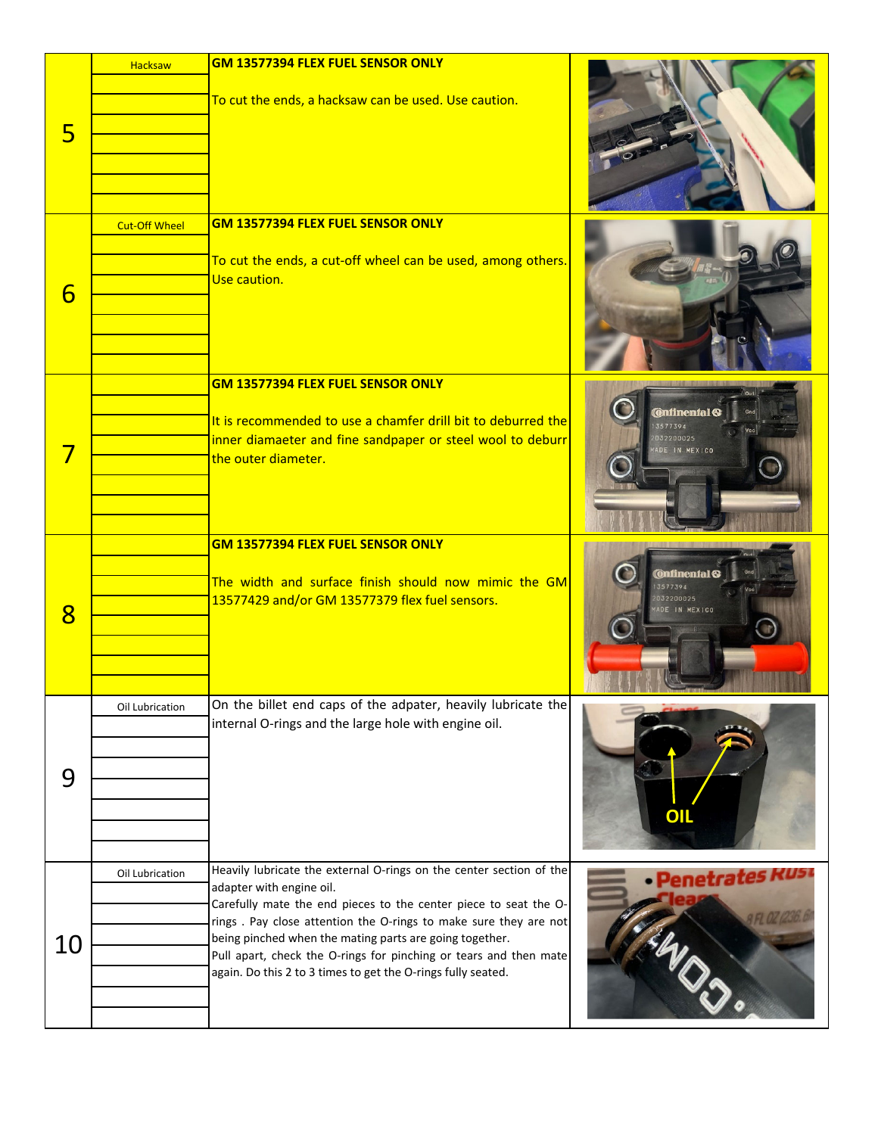| 5               | <b>Hacksaw</b>       | <b>GM 13577394 FLEX FUEL SENSOR ONLY</b><br>To cut the ends, a hacksaw can be used. Use caution.                                                                                                                                                                                                                                                                                                                                        |                                                              |
|-----------------|----------------------|-----------------------------------------------------------------------------------------------------------------------------------------------------------------------------------------------------------------------------------------------------------------------------------------------------------------------------------------------------------------------------------------------------------------------------------------|--------------------------------------------------------------|
| 6               | <b>Cut-Off Wheel</b> | <b>GM 13577394 FLEX FUEL SENSOR ONLY</b><br>To cut the ends, a cut-off wheel can be used, among others.<br>Use caution.                                                                                                                                                                                                                                                                                                                 |                                                              |
| 7               |                      | <b>GM 13577394 FLEX FUEL SENSOR ONLY</b><br>It is recommended to use a chamfer drill bit to deburred the<br>inner diamaeter and fine sandpaper or steel wool to deburr<br>the outer diameter.                                                                                                                                                                                                                                           | <b>Ontinental C</b><br>3577394<br>032200025<br>ADE IN MEXICO |
| $8\overline{8}$ |                      | GM 13577394 FLEX FUEL SENSOR ONLY<br>The width and surface finish should now mimic the GM<br>13577429 and/or GM 13577379 flex fuel sensors.                                                                                                                                                                                                                                                                                             | <b>Onfinenfal</b><br>3577394<br>032200025<br>DE IN MEXICO    |
| 9               | Oil Lubrication      | On the billet end caps of the adpater, heavily lubricate the<br>internal O-rings and the large hole with engine oil.                                                                                                                                                                                                                                                                                                                    | <u>OIL</u>                                                   |
| 10              | Oil Lubrication      | Heavily lubricate the external O-rings on the center section of the<br>adapter with engine oil.<br>Carefully mate the end pieces to the center piece to seat the O-<br>rings. Pay close attention the O-rings to make sure they are not<br>being pinched when the mating parts are going together.<br>Pull apart, check the O-rings for pinching or tears and then mate<br>again. Do this 2 to 3 times to get the O-rings fully seated. | • Penetrates Ri                                              |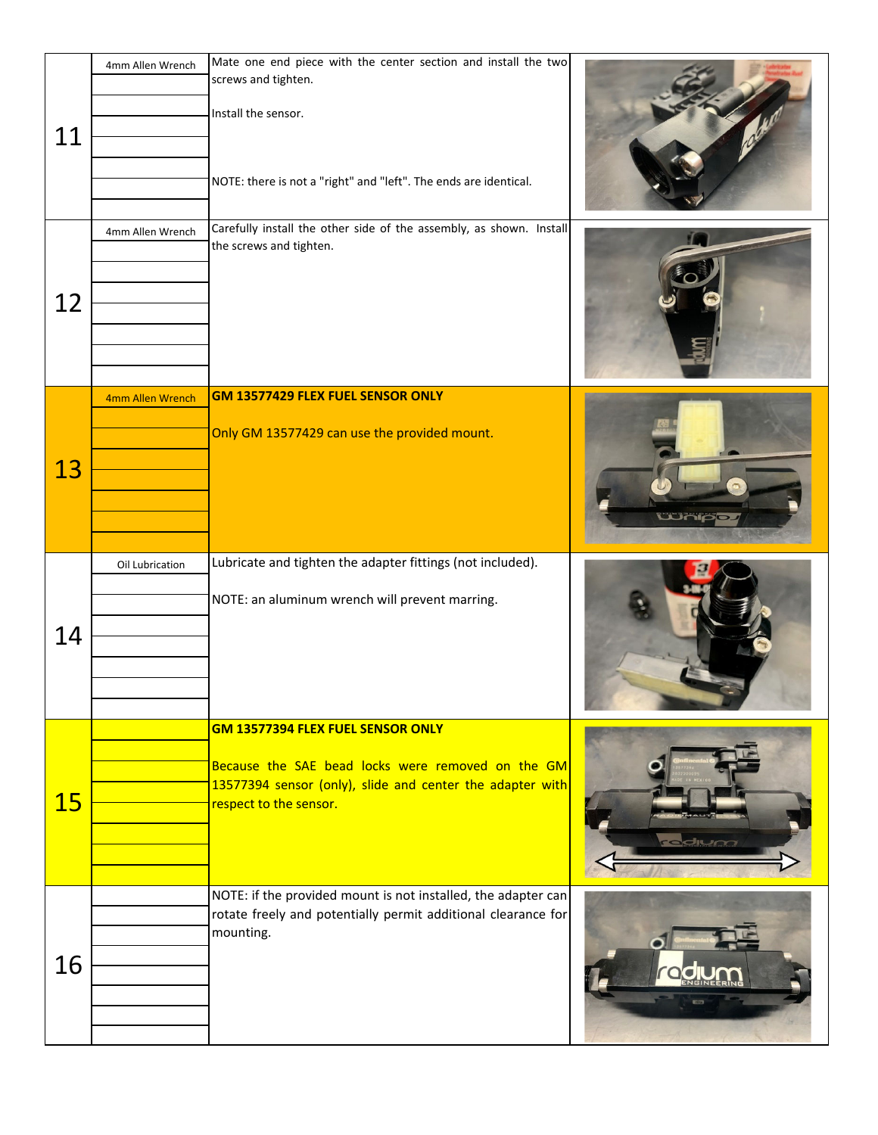| 11        | 4mm Allen Wrench | Mate one end piece with the center section and install the two<br>screws and tighten.<br>Install the sensor.<br>NOTE: there is not a "right" and "left". The ends are identical. |      |
|-----------|------------------|----------------------------------------------------------------------------------------------------------------------------------------------------------------------------------|------|
| 12        | 4mm Allen Wrench | Carefully install the other side of the assembly, as shown. Install<br>the screws and tighten.                                                                                   |      |
| 13        | 4mm Allen Wrench | GM 13577429 FLEX FUEL SENSOR ONLY<br>Only GM 13577429 can use the provided mount.                                                                                                |      |
| 14        | Oil Lubrication  | Lubricate and tighten the adapter fittings (not included).<br>NOTE: an aluminum wrench will prevent marring.                                                                     |      |
| <b>15</b> |                  | GM 13577394 FLEX FUEL SENSOR ONLY<br>Because the SAE bead locks were removed on the GM<br>13577394 sensor (only), slide and center the adapter with<br>respect to the sensor.    | dium |
| 16        |                  | NOTE: if the provided mount is not installed, the adapter can<br>rotate freely and potentially permit additional clearance for<br>mounting.                                      |      |